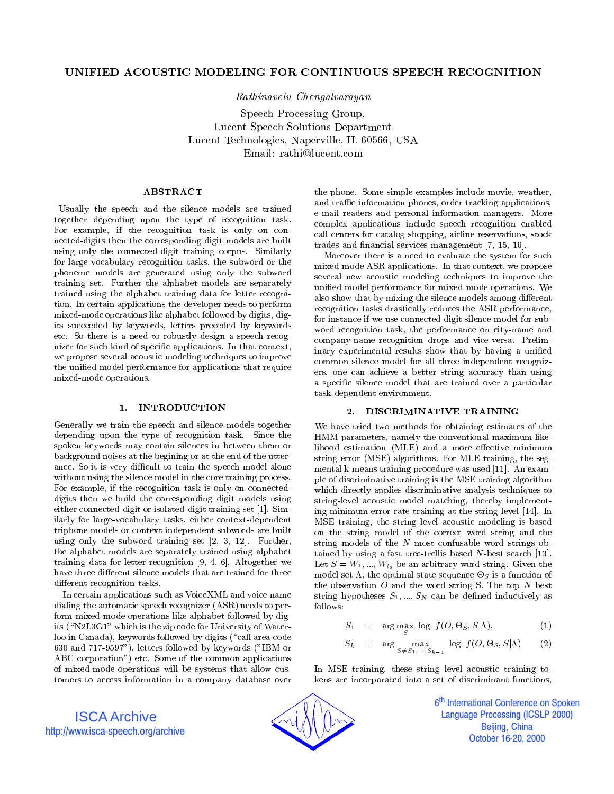# UNIFIED ACOUSTIC MODELING FOR CONTINUOUS SPEECH RECOGNITION

Rathinavelu Chengalvarayan

Speech Processing Group, Lucent Speech Solutions Department Lucent Technologies, Naperville, IL 60566, USA Email: rathi@lucent.com

## ABSTRACT

Usually the speech and the silence models are trained together depending upon the type of recognition task. For example, if the recognition task is only on con nected-digits then the corresponding digit models are built using only the connected-digit training corpus. Similarly for large-vocabulary recognition tasks, the subword or the phoneme models are generated using only the subword training set. Further the alphabet models are separately trained using the alphabet training data for letter recognition. In certain applications the developer needs to perform mixed-mode operations like alphabet followed by digits, digits succeeded by keywords, letters preceded by keywords etc. So there is a need to robustly design a speech recognizer for such kind of specic applications. In that context, we propose several acoustic modeling techniques to improve the unied model performance for applications that require mixed-mode operations.

#### $\mathbf{1}$ . 1. INTRODUCTION

Generally we train the speech and silence models together depending upon the type of recognition task. Since the spoken keywords may contain silences in between them or background noises at the begining or at the end of the utter ance. So it is very difficult to train the speech model alone without using the silence model in the core training process. For example, if the recognition task is only on connecteddigits then we build the corresponding digit models using either connected-digit or isolated-digit training set [1]. Similarly for large-vocabulary tasks, either context-dependent triphone models or context-independent subwords are built using only the subword training set [2, 3, 12]. Further, the alphabet models are separately trained using alphabet training data for letter recognition [9, 4, 6]. Altogether we have three different silence models that are trained for three different recognition tasks.

In certain applications such as VoiceXML and voice name dialing the automatic speech recognizer (ASR) needs to perform mixed-mode operations like alphabet followed by digits ( $\text{``N2L3G1''}$  which is the zip code for University of Waterloo in Canada), keywords followed by digits ("call area code 630 and 717-9597"), letters followed by keywords ("IBM or ABC corporation") etc. Some of the common applications of mixed-mode operations will be systems that allow cus tomers to access information in a company database over the phone. Some simple examples include movie, weather, and traffic information phones, order tracking applications, e-mail readers and personal information managers. More complex applications include speech recognition enabled call centers for catalog shopping, airline reservations, stock trades and financial services management [7, 15, 10].

Moreover there is a need to evaluate the system for such mixed-mode ASR applications. In that context, we propose several new acoustic modeling techniques to improve the unied model performance for mixed-mode operations. We also show that by mixing the silence models among different recognition tasks drastically reduces the ASR performance, for instance if we use connected digit silence model for sub word recognition task, the performance on city-name and company-name recognition drops and vice-versa. Preliminary experimental results show that by having a unified common silence model for all three independent recognizers, one can achieve a better string accuracy than using a specic silence model that are trained over a particular task-dependent environment.

## 2. DISCRIMINATIVE TRAINING

We have tried two methods for obtaining estimates of the HMM parameters, namely the conventional maximum likelihood estimation (MLE) and a more effective minimum string error (MSE) algorithms. For MLE training, the seg mental k-means training procedure was used [11]. An example of discriminative training is the MSE training algorithm which directly applies discriminative analysis techniques to string-level acoustic model matching, thereby implementing minimum error rate training at the string level [14]. In MSE training, the string level acoustic modeling is based on the string model of the correct word string and the string models of the <sup>N</sup> most confusable word strings obtained by using a fast tree-trellis based  $N$ -best search [13]. Let  $S = W_1, ..., W_{l_s}$  be an arbitrary word string. Given the model set , the optimal state sequence -S is a function of the observation  $O$  and the word string S. The top  $N$  best string hypotheses  $S_1, ..., S_N$  can be defined inductively as follows:

$$
S_1 = \arg\max_{S} \log f(O, \Theta_S, S | \Lambda), \tag{1}
$$

$$
S_k = \arg\max_{S \neq S_1, \dots, S_{k-1}} \log f(O, \Theta_S, S | \Lambda) \qquad (2)
$$

In MSE training, these string level acoustic training tokens are incorporated into a set of discriminant functions,





6<sup>th</sup> International Conference on Spoken j **Language Processing (ICSLP 2000)** Beijing, China October 16-20, 2000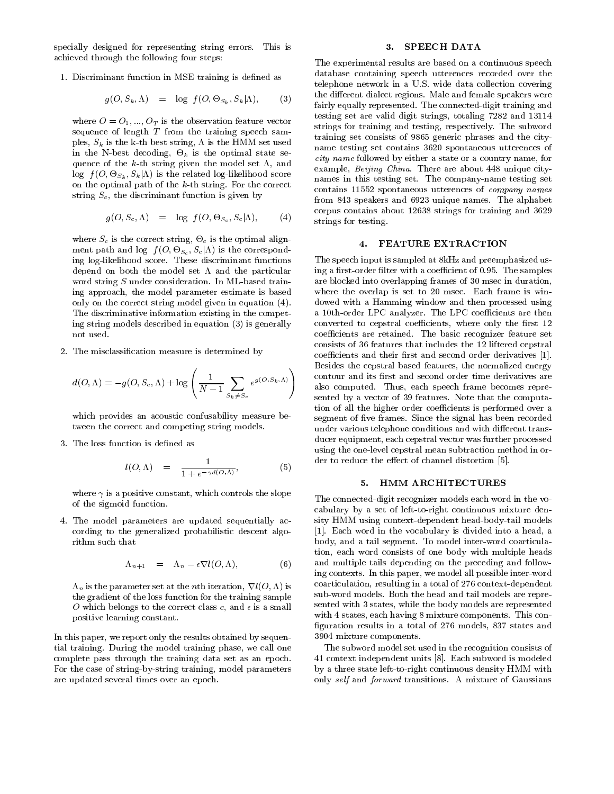specially designed for representing string errors. This is achieved through the following four steps:

1. Discriminant function in MSE training is defined as

$$
g(O, S_k, \Lambda) = \log f(O, \Theta_{S_k}, S_k | \Lambda), \qquad (3) \qquad \frac{d}{d}
$$

where  $O = O_1, ..., O_T$  is the observation feature vector sequence of length  $T$  from the training speech samples, Sk is the k-th best string, is the HMM set used in the State decomposition of the optimization state sequence of the  $k$ -th string given the model set  $\Lambda$ , and  $\log f(O, \Theta S_k, \Theta k | \Lambda)$  is the related log-likelihood score on the optimal path of the k-th string. For the correct string  $S_c$ , the discriminant function is given by

$$
g(O, S_c, \Lambda) = \log f(O, \Theta_{S_c}, S_c | \Lambda), \qquad (4)
$$

where Sc is the correct string,  $\sim$  c is the optimal alignment path and log  $f(O, \Theta S_c, S_c | \Lambda)$  is the corresponding log-likelihood score. These discriminant functions depend on both the model set  $\Lambda$  and the particular word string  $S$  under consideration. In ML-based training approach, the model parameter estimate is based only on the correct string model given in equation (4). The discriminative information existing in the competing string models described in equation (3) is generally not used.

2. The misclassication measure is determined by

$$
d(O, \Lambda) = -g(O, S_c, \Lambda) + \log \left( \frac{1}{N-1} \sum_{S_k \neq S_c} e^{g(O, S_k, \Lambda)} \right)
$$

which provides an acoustic confusability measure between the correct and competing string models.

3. The loss function is defined as

$$
l(O, \Lambda) = \frac{1}{1 + e^{-\gamma d(O, \Lambda)}}, \qquad (5)
$$

where  $\gamma$  is a positive constant, which controls the slope of the sigmoid function.

4. The model parameters are updated sequentially ac cording to the generalized probabilistic descent algorithm such that

$$
\Lambda_{n+1} = \Lambda_n - \epsilon \nabla l(O, \Lambda), \tag{6}
$$

n is the parameter set at the nth iteration, ri(O; ) is  $\rho$ the gradient of the loss function for the training sample O which belongs to the correct class c, and is a small positive learning constant.

In this paper, we report only the results obtained by sequential training. During the model training phase, we call one complete pass through the training data set as an epoch. For the case of string-by-string training, model parameters are updated several times over an epoch.

#### 3. SPEECH DATA

The experimental results are based on a continuous speech database containing speech utterences recorded over the telephone network in a U.S. wide data collection covering the different dialect regions. Male and female speakers were fairly equally represented. The connected-digit training and testing set are valid digit strings, totaling 7282 and 13114 strings for training and testing, respectively. The subword training set consists of 9865 generic phrases and the cityname testing set contains 3620 spontaneous utterences of city name followed by either a state or a country name, for example, *Beijing China*. There are about 448 unique citynames in this testing set. The company-name testing set contains 11552 spontaneous utterences of company names from 843 speakers and 6923 unique names. The alphabet corpus contains about 12638 strings for training and 3629 strings for testing.

## 4. FEATURE EXTRACTION

The speech input is sampled at 8kHz and preemphasized using a first-order filter with a coefficient of 0.95. The samples are blocked into overlapping frames of 30 msec in duration, where the overlap is set to 20 msec. Each frame is windowed with a Hamming window and then processed using a 10th-order LPC analyzer. The LPC coefficients are then converted to cepstral coefficients, where only the first 12 coefficients are retained. The basic recognizer feature set consists of 36 features that includes the 12 liftered cepstral coefficients and their first and second order derivatives [1]. coecients and their rst and second order derivatives [1]. Besides the cepstral based features, the normalized energy  $(g(O, S_k, \Lambda))$  contour and its first and second order time derivatives are  $\left(\frac{1}{-1}\sum e^{g(O,S_k,\Lambda)}\right)$  contour and its first and second order time derivatives are sented by a vector of 39 features. Note that the computation of all the higher order coefficients is performed over a segment of five frames. Since the signal has been recorded under various telephone conditions and with different transducer equipment, each cepstral vector was further processed using the one-level cepstral mean subtraction method in order to reduce the effect of channel distortion [5].

### 5. HMM ARCHITECTURES

The connected-digit recognizer models each word in the vo cabulary by a set of left-to-right continuous mixture density HMM using context-dependent head-body-tail models [1]. Each word in the vocabulary is divided into a head, a body, and a tail segment. To model inter-word coarticulation, each word consists of one body with multiple heads and multiple tails depending on the preceding and following contexts. In this paper, we model all possible inter-word coarticulation, resulting in a total of 276 context-dependent sub-word models. Both the head and tail models are repre sented with 3 states, while the body models are represented with 4 states, each having 8 mixture components. This con guration results in a total of 276 models, 837 states and 3904 mixture components.

The subword model set used in the recognition consists of 41 context independent units [8]. Each subword is modeled by a three state left-to-right continuous density HMM with only self and forward transitions. A mixture of Gaussians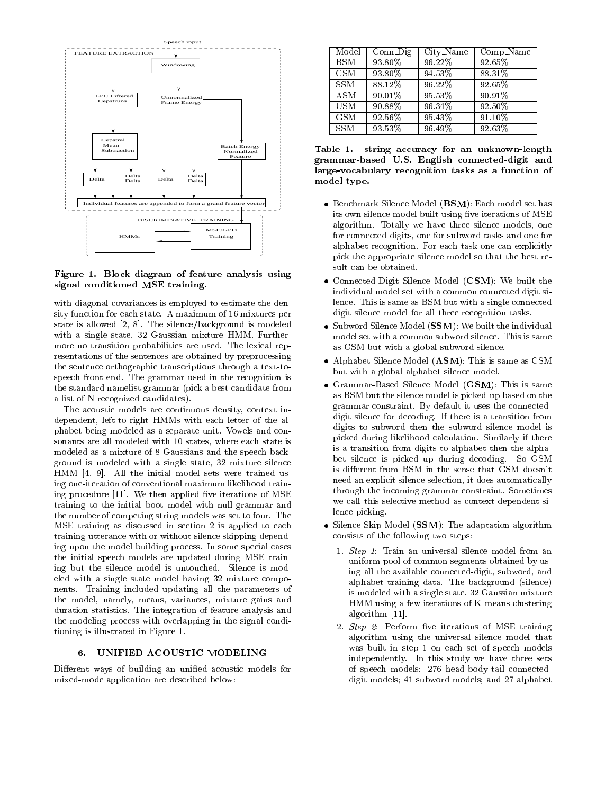

Figure 1. Block diagram of feature analysis using signal conditioned MSE training.

with diagonal covariances is employed to estimate the density function for each state. A maximum of 16 mixtures per state is allowed [2, 8]. The silence/background is modeled with a single state, 32 Gaussian mixture HMM. Furthermore no transition probabilities are used. The lexical rep resentations of the sentences are obtained by preprocessing the sentence orthographic transcriptions through a text-tospeech front end. The grammar used in the recognition is the standard namelist grammar (pick a best candidate from a list of N recognized candidates).

The acoustic models are continuous density, context independent, left-to-right HMMs with each letter of the alphabet being modeled as a separate unit. Vowels and con sonants are all modeled with 10 states, where each state is modeled as a mixture of 8 Gaussians and the speech background is modeled with a single state, 32 mixture silence HMM [4, 9]. All the initial model sets were trained using one-iteration of conventional maximum likelihood training procedure  $[11]$ . We then applied five iterations of MSE training to the initial boot model with null grammar and the number of competing string models was set to four. The MSE training as discussed in section 2 is applied to each training utterance with or without silence skipping depending upon the model building process. In some special cases the initial speech models are updated during MSE training but the silence model is untouched. Silence is modeled with a single state model having 32 mixture compo nents. Training included updating all the parameters of the model, namely, means, variances, mixture gains and duration statistics. The integration of feature analysis and the modeling process with overlapping in the signal conditioning is illustrated in Figure 1.

#### 6. 6. UNIFIED ACOUSTIC MODELING

Different ways of building an unified acoustic models for mixed-mode application are described below:

| Model      | $Conn$ $Di$ | City_Name | Comp_Name |
|------------|-------------|-----------|-----------|
| <b>BSM</b> | 93.80%      | 96.22%    | 92.65%    |
| CSM        | 93.80%      | 94.53%    | 88.31%    |
| <b>SSM</b> | 88.12%      | 96.22%    | 92.65%    |
| <b>ASM</b> | 90.01%      | 95.53%    | 90.91%    |
| <b>USM</b> | 90.88%      | 96.34%    | 92.50%    |
| GSM        | 92.56%      | 95.43%    | 91.10%    |
| <b>SSM</b> | 93.53%      | 96.49%    | 92.63%    |

Table 1. string accuracy for an unknown-length grammar-based U.S. English connected-digit and large-vocabulary recognition tasks as a function of model type.

- Benchmark Silence Model (BSM): Each model set has its own silence model built using five iterations of MSE algorithm. Totally we have three silence models, one for connected digits, one for subword tasks and one for alphabet recognition. For each task one can explicitly pick the appropriate silence model so that the best result can be obtained.
- Connected-Digit Silence Model (CSM): We built the individual model set with a common connected digit silence. This is same as BSM but with a single connected digit silence model for all three recognition tasks.
- Subword Silence Model (SSM): We built the individual model set with a common subword silence. This is same as CSM but with a global subword silence.
- Alphabet Silence Model (ASM): This is same as CSM but with a global alphabet silence model.
- Grammar-Based Silence Model (GSM): This is same as BSM but the silence model is picked-up based on the grammar constraint. By default it uses the connecteddigit silence for decoding. If there is a transition from digits to subword then the subword silence model is picked during likelihood calculation. Similarly if there is a transition from digits to alphabet then the alphabet silence is picked up during decoding. So GSM is different from BSM in the sense that GSM doesn't need an explicit silence selection, it does automatically through the incoming grammar constraint. Sometimes we call this selective method as context-dependent silence picking.
- Silence Skip Model (SSM): The adaptation algorithm consists of the following two steps:
	- 1. Step 1: Train an universal silence model from an uniform pool of common segments obtained by using all the available connected-digit, subword, and alphabet training data. The background (silence) is modeled with a single state, 32 Gaussian mixture HMM using a few iterations of K-means clustering algorithm [11].
	- 2.  $Step 2$ : Perform five iterations of MSE training algorithm using the universal silence model that was built in step 1 on each set of speech models independently. In this study we have three sets of speech models: 276 head-body-tail connecteddigit models; 41 subword models; and 27 alphabet